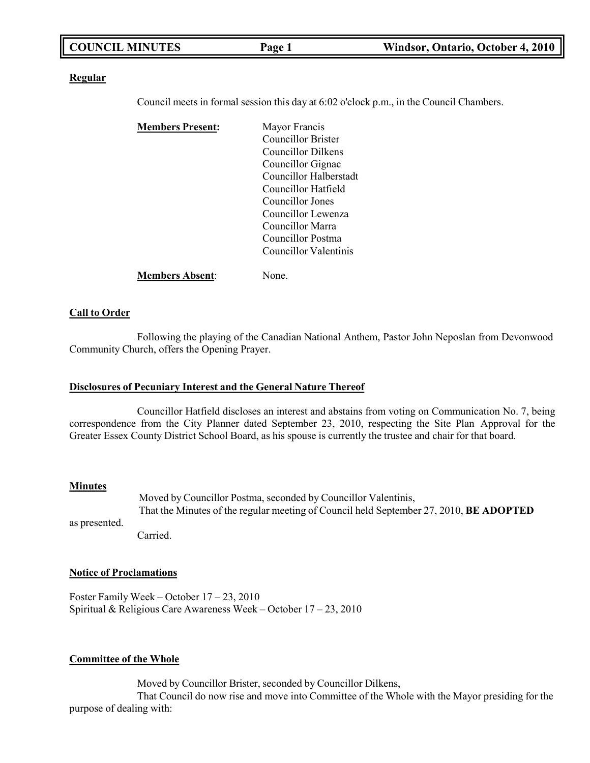| <b>COUNCIL MINUTES</b> | Page 1 | Windsor, Ontario, October 4, 2010 |
|------------------------|--------|-----------------------------------|
|                        |        |                                   |

#### **Regular**

Council meets in formal session this day at 6:02 o'clock p.m., in the Council Chambers.

| <b>Members Present:</b> | Mayor Francis                |
|-------------------------|------------------------------|
|                         | <b>Councillor Brister</b>    |
|                         | Councillor Dilkens           |
|                         | Councillor Gignac            |
|                         | Councillor Halberstadt       |
|                         | Councillor Hatfield          |
|                         | Councillor Jones             |
|                         | Councillor Lewenza           |
|                         | Councillor Marra             |
|                         | Councillor Postma            |
|                         | <b>Councillor Valentinis</b> |
| <b>Members Absent:</b>  | None.                        |

### **Call to Order**

Following the playing of the Canadian National Anthem, Pastor John Neposlan from Devonwood Community Church, offers the Opening Prayer.

### **Disclosures of Pecuniary Interest and the General Nature Thereof**

Councillor Hatfield discloses an interest and abstains from voting on Communication No. 7, being correspondence from the City Planner dated September 23, 2010, respecting the Site Plan Approval for the Greater Essex County District School Board, as his spouse is currently the trustee and chair for that board.

#### **Minutes**

as presented. Moved by Councillor Postma, seconded by Councillor Valentinis, That the Minutes of the regular meeting of Council held September 27, 2010, **BE ADOPTED** Carried.

## **Notice of Proclamations**

Foster Family Week – October 17 – 23, 2010 Spiritual & Religious Care Awareness Week – October 17 – 23, 2010

### **Committee of the Whole**

Moved by Councillor Brister, seconded by Councillor Dilkens,

That Council do now rise and move into Committee of the Whole with the Mayor presiding for the purpose of dealing with: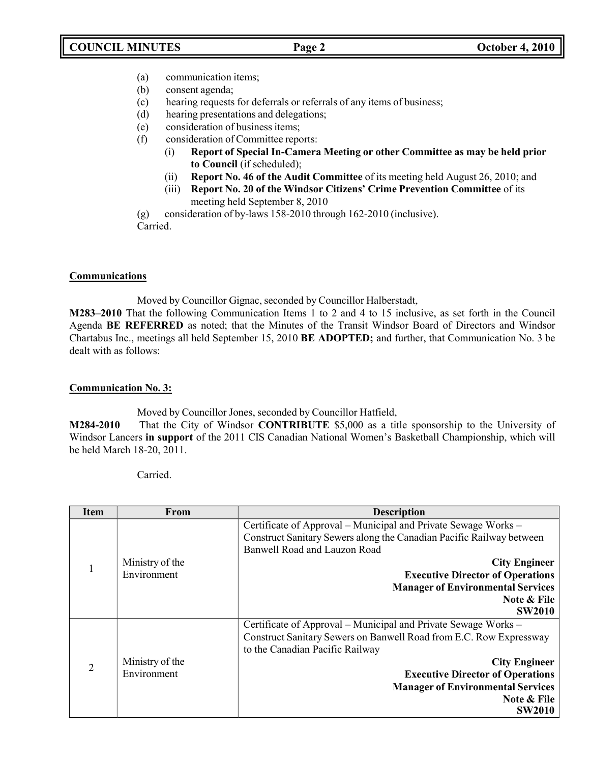- (a) communication items;
- (b) consent agenda;
- (c) hearing requests for deferrals or referrals of any items of business;
- (d) hearing presentations and delegations;
- (e) consideration of business items;
- (f) consideration of Committee reports:
	- (i) **Report of Special In-Camera Meeting or other Committee as may be held prior to Council** (if scheduled);
	- (ii) **Report No. 46 of the Audit Committee** of its meeting held August 26, 2010; and
	- (iii) **Report No. 20 of the Windsor Citizens' Crime Prevention Committee** of its meeting held September 8, 2010

(g) consideration of by-laws 158-2010 through 162-2010 (inclusive). Carried.

## **Communications**

Moved by Councillor Gignac, seconded by Councillor Halberstadt,

**M283–2010** That the following Communication Items 1 to 2 and 4 to 15 inclusive, as set forth in the Council Agenda **BE REFERRED** as noted; that the Minutes of the Transit Windsor Board of Directors and Windsor Chartabus Inc., meetings all held September 15, 2010 **BE ADOPTED;** and further, that Communication No. 3 be dealt with as follows:

## **Communication No. 3:**

Moved by Councillor Jones, seconded by Councillor Hatfield,

**M284-2010** That the City of Windsor **CONTRIBUTE** \$5,000 as a title sponsorship to the University of Windsor Lancers **in support** of the 2011 CIS Canadian National Women's Basketball Championship, which will be held March 18-20, 2011.

Carried.

| <b>Item</b>    | <b>From</b>                    | <b>Description</b>                                                   |
|----------------|--------------------------------|----------------------------------------------------------------------|
|                |                                | Certificate of Approval – Municipal and Private Sewage Works –       |
|                |                                | Construct Sanitary Sewers along the Canadian Pacific Railway between |
|                |                                | Banwell Road and Lauzon Road                                         |
| 1              | Ministry of the                | <b>City Engineer</b>                                                 |
|                | Environment                    | <b>Executive Director of Operations</b>                              |
|                |                                | <b>Manager of Environmental Services</b>                             |
|                |                                | Note & File                                                          |
|                |                                | <b>SW2010</b>                                                        |
|                |                                | Certificate of Approval – Municipal and Private Sewage Works –       |
|                | Ministry of the<br>Environment | Construct Sanitary Sewers on Banwell Road from E.C. Row Expressway   |
| $\overline{2}$ |                                | to the Canadian Pacific Railway                                      |
|                |                                | <b>City Engineer</b>                                                 |
|                |                                | <b>Executive Director of Operations</b>                              |
|                |                                | <b>Manager of Environmental Services</b>                             |
|                |                                | Note & File                                                          |
|                |                                | <b>SW2010</b>                                                        |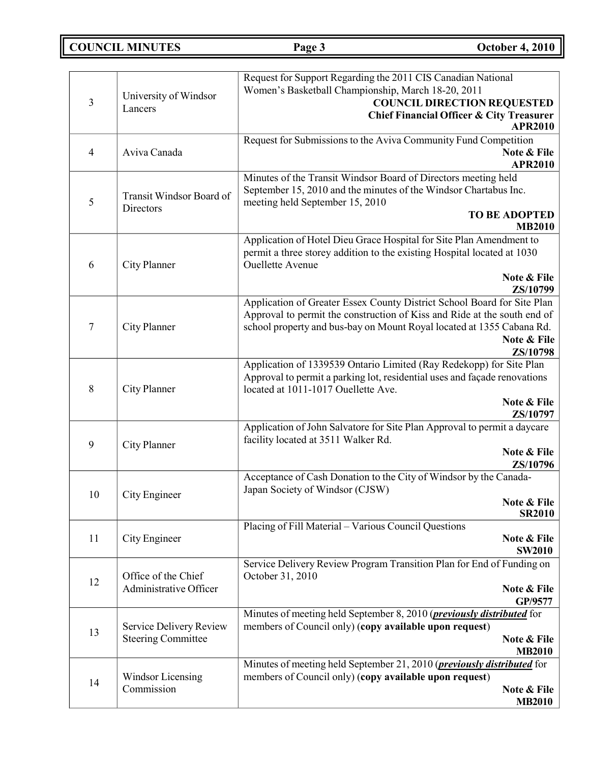**COUNCIL MINUTES Page 3 October 4, 2010**

| 3                 | Request for Support Regarding the 2011 CIS Canadian National<br>Women's Basketball Championship, March 18-20, 2011<br>University of Windsor<br><b>COUNCIL DIRECTION REQUESTED</b><br>Lancers<br><b>Chief Financial Officer &amp; City Treasurer</b> |                                                                                     |
|-------------------|-----------------------------------------------------------------------------------------------------------------------------------------------------------------------------------------------------------------------------------------------------|-------------------------------------------------------------------------------------|
|                   |                                                                                                                                                                                                                                                     | <b>APR2010</b>                                                                      |
|                   |                                                                                                                                                                                                                                                     | Request for Submissions to the Aviva Community Fund Competition                     |
| $\overline{4}$    | Aviva Canada                                                                                                                                                                                                                                        | Note & File                                                                         |
|                   |                                                                                                                                                                                                                                                     | <b>APR2010</b><br>Minutes of the Transit Windsor Board of Directors meeting held    |
|                   |                                                                                                                                                                                                                                                     | September 15, 2010 and the minutes of the Windsor Chartabus Inc.                    |
| 5                 | Transit Windsor Board of<br>Directors                                                                                                                                                                                                               | meeting held September 15, 2010                                                     |
|                   |                                                                                                                                                                                                                                                     | <b>TO BE ADOPTED</b><br><b>MB2010</b>                                               |
|                   |                                                                                                                                                                                                                                                     | Application of Hotel Dieu Grace Hospital for Site Plan Amendment to                 |
|                   |                                                                                                                                                                                                                                                     | permit a three storey addition to the existing Hospital located at 1030             |
| 6                 | City Planner                                                                                                                                                                                                                                        | <b>Ouellette Avenue</b>                                                             |
|                   |                                                                                                                                                                                                                                                     | Note & File                                                                         |
|                   |                                                                                                                                                                                                                                                     | ZS/10799<br>Application of Greater Essex County District School Board for Site Plan |
|                   |                                                                                                                                                                                                                                                     | Approval to permit the construction of Kiss and Ride at the south end of            |
| $\tau$            | City Planner                                                                                                                                                                                                                                        | school property and bus-bay on Mount Royal located at 1355 Cabana Rd.               |
|                   |                                                                                                                                                                                                                                                     | Note & File                                                                         |
|                   |                                                                                                                                                                                                                                                     | ZS/10798<br>Application of 1339539 Ontario Limited (Ray Redekopp) for Site Plan     |
|                   | City Planner                                                                                                                                                                                                                                        | Approval to permit a parking lot, residential uses and façade renovations           |
| 8                 |                                                                                                                                                                                                                                                     | located at 1011-1017 Ouellette Ave.                                                 |
|                   |                                                                                                                                                                                                                                                     | Note & File<br>ZS/10797                                                             |
|                   |                                                                                                                                                                                                                                                     | Application of John Salvatore for Site Plan Approval to permit a daycare            |
| 9<br>City Planner |                                                                                                                                                                                                                                                     | facility located at 3511 Walker Rd.                                                 |
|                   |                                                                                                                                                                                                                                                     | Note & File                                                                         |
|                   |                                                                                                                                                                                                                                                     | ZS/10796<br>Acceptance of Cash Donation to the City of Windsor by the Canada-       |
|                   |                                                                                                                                                                                                                                                     | Japan Society of Windsor (CJSW)                                                     |
| 10                | City Engineer                                                                                                                                                                                                                                       | Note & File                                                                         |
|                   |                                                                                                                                                                                                                                                     | <b>SR2010</b>                                                                       |
| 11                | City Engineer                                                                                                                                                                                                                                       | Placing of Fill Material - Various Council Questions<br>Note & File                 |
|                   |                                                                                                                                                                                                                                                     | <b>SW2010</b>                                                                       |
|                   |                                                                                                                                                                                                                                                     | Service Delivery Review Program Transition Plan for End of Funding on               |
| 12                | Office of the Chief<br>Administrative Officer                                                                                                                                                                                                       | October 31, 2010                                                                    |
|                   |                                                                                                                                                                                                                                                     | Note & File<br>GP/9577                                                              |
|                   |                                                                                                                                                                                                                                                     | Minutes of meeting held September 8, 2010 ( <i>previously distributed</i> for       |
| 13                | Service Delivery Review                                                                                                                                                                                                                             | members of Council only) (copy available upon request)                              |
|                   | <b>Steering Committee</b>                                                                                                                                                                                                                           | Note & File<br><b>MB2010</b>                                                        |
|                   |                                                                                                                                                                                                                                                     | Minutes of meeting held September 21, 2010 ( <i>previously distributed</i> for      |
| 14                | Windsor Licensing                                                                                                                                                                                                                                   | members of Council only) (copy available upon request)                              |
|                   | Commission                                                                                                                                                                                                                                          | Note & File                                                                         |
|                   |                                                                                                                                                                                                                                                     | <b>MB2010</b>                                                                       |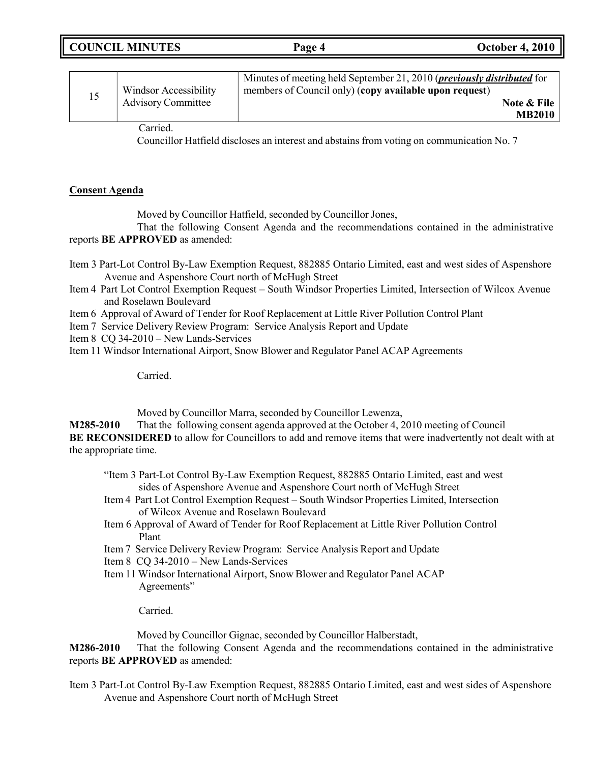| <b>COUNCIL MINUTES</b> | Page 4 | <b>October 4, 2010</b> |
|------------------------|--------|------------------------|
|------------------------|--------|------------------------|

| <b>Windsor Accessibility</b> | Minutes of meeting held September 21, 2010 ( <i>previously distributed</i> for<br>members of Council only) (copy available upon request) |
|------------------------------|------------------------------------------------------------------------------------------------------------------------------------------|
| <b>Advisory Committee</b>    | Note & File                                                                                                                              |
|                              | <b>MB2010</b>                                                                                                                            |

Carried.

Councillor Hatfield discloses an interest and abstains from voting on communication No. 7

## **Consent Agenda**

Moved by Councillor Hatfield, seconded by Councillor Jones,

That the following Consent Agenda and the recommendations contained in the administrative reports **BE APPROVED** as amended:

- Item 3 Part-Lot Control By-Law Exemption Request, 882885 Ontario Limited, east and west sides of Aspenshore Avenue and Aspenshore Court north of McHugh Street
- Item 4 Part Lot Control Exemption Request South Windsor Properties Limited, Intersection of Wilcox Avenue and Roselawn Boulevard
- Item 6 Approval of Award of Tender for Roof Replacement at Little River Pollution Control Plant
- Item 7 Service Delivery Review Program: Service Analysis Report and Update
- Item 8 CQ 34-2010 New Lands-Services
- Item 11 Windsor International Airport, Snow Blower and Regulator Panel ACAP Agreements

Carried.

Moved by Councillor Marra, seconded by Councillor Lewenza,

**M285-2010** That the following consent agenda approved at the October 4, 2010 meeting of Council **BE RECONSIDERED** to allow for Councillors to add and remove items that were inadvertently not dealt with at the appropriate time.

- "Item 3 Part-Lot Control By-Law Exemption Request, 882885 Ontario Limited, east and west sides of Aspenshore Avenue and Aspenshore Court north of McHugh Street
- Item 4 Part Lot Control Exemption Request South Windsor Properties Limited, Intersection of Wilcox Avenue and Roselawn Boulevard
- Item 6 Approval of Award of Tender for Roof Replacement at Little River Pollution Control Plant
- Item 7 Service Delivery Review Program: Service Analysis Report and Update

Item 8 CQ 34-2010 – New Lands-Services

Item 11 Windsor International Airport, Snow Blower and Regulator Panel ACAP Agreements"

Carried.

Moved by Councillor Gignac, seconded by Councillor Halberstadt,

**M286-2010** That the following Consent Agenda and the recommendations contained in the administrative reports **BE APPROVED** as amended:

Item 3 Part-Lot Control By-Law Exemption Request, 882885 Ontario Limited, east and west sides of Aspenshore Avenue and Aspenshore Court north of McHugh Street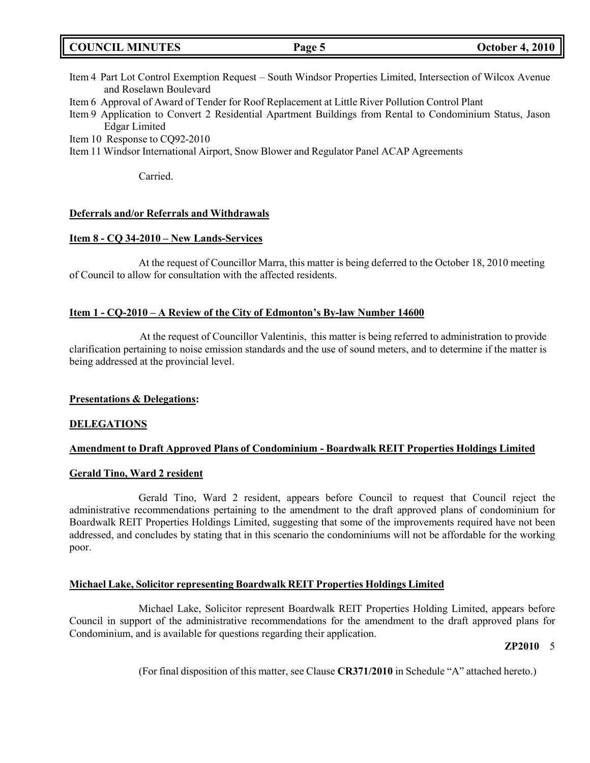|  | <b>COUNCIL MINUTES</b> |
|--|------------------------|
|--|------------------------|

- Item 4 Part Lot Control Exemption Request South Windsor Properties Limited, Intersection of Wilcox Avenue and Roselawn Boulevard
- Item 6 Approval of Award of Tender for Roof Replacement at Little River Pollution Control Plant

Item 9 Application to Convert 2 Residential Apartment Buildings from Rental to Condominium Status, Jason Edgar Limited

Item 10 Response to CQ92-2010

Item 11 Windsor International Airport, Snow Blower and Regulator Panel ACAP Agreements

Carried.

### **Deferrals and/or Referrals and Withdrawals**

### **Item 8 - CQ 34-2010 – New Lands-Services**

At the request of Councillor Marra, this matter is being deferred to the October 18, 2010 meeting of Council to allow for consultation with the affected residents.

## **Item 1 - CQ-2010 – A Review of the City of Edmonton's By-law Number 14600**

At the request of Councillor Valentinis, this matter is being referred to administration to provide clarification pertaining to noise emission standards and the use of sound meters, and to determine if the matter is being addressed at the provincial level.

### **Presentations & Delegations:**

### **DELEGATIONS**

### **Amendment to Draft Approved Plans of Condominium - Boardwalk REIT Properties Holdings Limited**

### **Gerald Tino, Ward 2 resident**

Gerald Tino, Ward 2 resident, appears before Council to request that Council reject the administrative recommendations pertaining to the amendment to the draft approved plans of condominium for Boardwalk REIT Properties Holdings Limited, suggesting that some of the improvements required have not been addressed, and concludes by stating that in this scenario the condominiums will not be affordable for the working poor.

## **Michael Lake, Solicitor representing Boardwalk REIT Properties Holdings Limited**

Michael Lake, Solicitor represent Boardwalk REIT Properties Holding Limited, appears before Council in support of the administrative recommendations for the amendment to the draft approved plans for Condominium, and is available for questions regarding their application.

### **ZP2010** 5

(For final disposition of this matter, see Clause **CR371/2010** in Schedule "A" attached hereto.)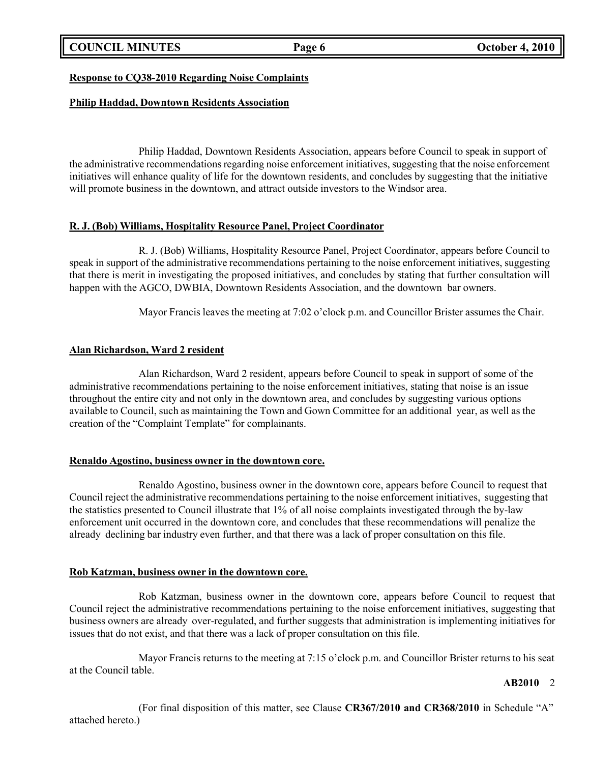**COUNCIL MINUTES Page 6 October 4, 2010**

## **Response to CQ38-2010 Regarding Noise Complaints**

## **Philip Haddad, Downtown Residents Association**

Philip Haddad, Downtown Residents Association, appears before Council to speak in support of the administrative recommendations regarding noise enforcement initiatives, suggesting that the noise enforcement initiatives will enhance quality of life for the downtown residents, and concludes by suggesting that the initiative will promote business in the downtown, and attract outside investors to the Windsor area.

## **R. J. (Bob) Williams, Hospitality Resource Panel, Project Coordinator**

R. J. (Bob) Williams, Hospitality Resource Panel, Project Coordinator, appears before Council to speak in support of the administrative recommendations pertaining to the noise enforcement initiatives, suggesting that there is merit in investigating the proposed initiatives, and concludes by stating that further consultation will happen with the AGCO, DWBIA, Downtown Residents Association, and the downtown bar owners.

Mayor Francis leaves the meeting at 7:02 o'clock p.m. and Councillor Brister assumes the Chair.

## **Alan Richardson, Ward 2 resident**

Alan Richardson, Ward 2 resident, appears before Council to speak in support of some of the administrative recommendations pertaining to the noise enforcement initiatives, stating that noise is an issue throughout the entire city and not only in the downtown area, and concludes by suggesting various options available to Council, such as maintaining the Town and Gown Committee for an additional year, as well as the creation of the "Complaint Template" for complainants.

## **Renaldo Agostino, business owner in the downtown core.**

Renaldo Agostino, business owner in the downtown core, appears before Council to request that Council reject the administrative recommendations pertaining to the noise enforcement initiatives, suggesting that the statistics presented to Council illustrate that 1% of all noise complaints investigated through the by-law enforcement unit occurred in the downtown core, and concludes that these recommendations will penalize the already declining bar industry even further, and that there was a lack of proper consultation on this file.

## **Rob Katzman, business owner in the downtown core.**

Rob Katzman, business owner in the downtown core, appears before Council to request that Council reject the administrative recommendations pertaining to the noise enforcement initiatives, suggesting that business owners are already over-regulated, and further suggests that administration is implementing initiatives for issues that do not exist, and that there was a lack of proper consultation on this file.

Mayor Francis returns to the meeting at 7:15 o'clock p.m. and Councillor Brister returns to his seat at the Council table.

## **AB2010** 2

(For final disposition of this matter, see Clause **CR367/2010 and CR368/2010** in Schedule "A" attached hereto.)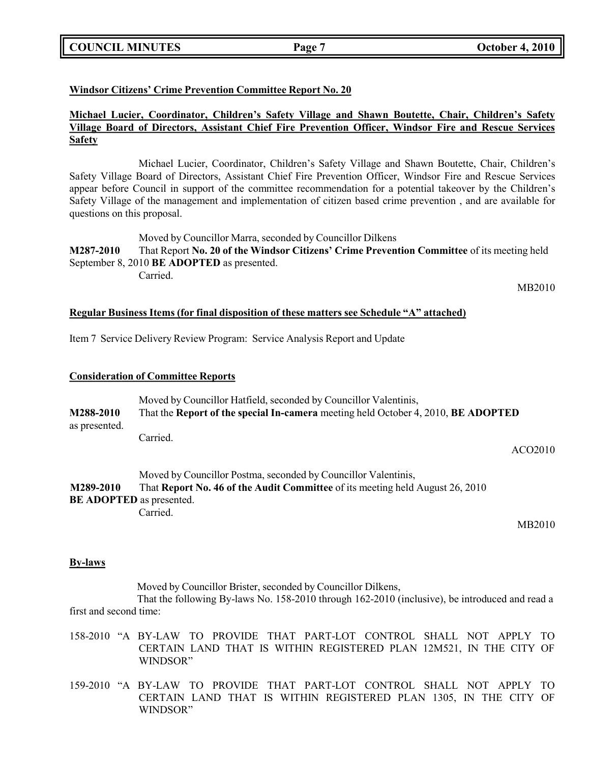## **COUNCIL MINUTES Page 7 October 4, 2010**

## **Windsor Citizens' Crime Prevention Committee Report No. 20**

## **Michael Lucier, Coordinator, Children's Safety Village and Shawn Boutette, Chair, Children's Safety Village Board of Directors, Assistant Chief Fire Prevention Officer, Windsor Fire and Rescue Services Safety**

Michael Lucier, Coordinator, Children's Safety Village and Shawn Boutette, Chair, Children's Safety Village Board of Directors, Assistant Chief Fire Prevention Officer, Windsor Fire and Rescue Services appear before Council in support of the committee recommendation for a potential takeover by the Children's Safety Village of the management and implementation of citizen based crime prevention , and are available for questions on this proposal.

Moved by Councillor Marra, seconded by Councillor Dilkens **M287-2010** That Report **No. 20 of the Windsor Citizens' Crime Prevention Committee** of its meeting held September 8, 2010 **BE ADOPTED** as presented. Carried.

MB2010

## **Regular Business Items (for final disposition of these matters see Schedule "A" attached)**

Item 7 Service Delivery Review Program: Service Analysis Report and Update

### **Consideration of Committee Reports**

| M288-2010                       | Moved by Councillor Hatfield, seconded by Councillor Valentinis,                  |
|---------------------------------|-----------------------------------------------------------------------------------|
| as presented.                   | That the Report of the special In-camera meeting held October 4, 2010, BE ADOPTED |
|                                 | Carried.<br>ACO2010                                                               |
| M289-2010                       | Moved by Councillor Postma, seconded by Councillor Valentinis,                    |
| <b>BE ADOPTED</b> as presented. | That Report No. 46 of the Audit Committee of its meeting held August 26, 2010     |
|                                 | Carried.<br>MB2010                                                                |

### **By-laws**

Moved by Councillor Brister, seconded by Councillor Dilkens,

That the following By-laws No. 158-2010 through 162-2010 (inclusive), be introduced and read a first and second time:

- 158-2010 "A BY-LAW TO PROVIDE THAT PART-LOT CONTROL SHALL NOT APPLY TO CERTAIN LAND THAT IS WITHIN REGISTERED PLAN 12M521, IN THE CITY OF WINDSOR"
- 159-2010 "A BY-LAW TO PROVIDE THAT PART-LOT CONTROL SHALL NOT APPLY TO CERTAIN LAND THAT IS WITHIN REGISTERED PLAN 1305, IN THE CITY OF WINDSOR"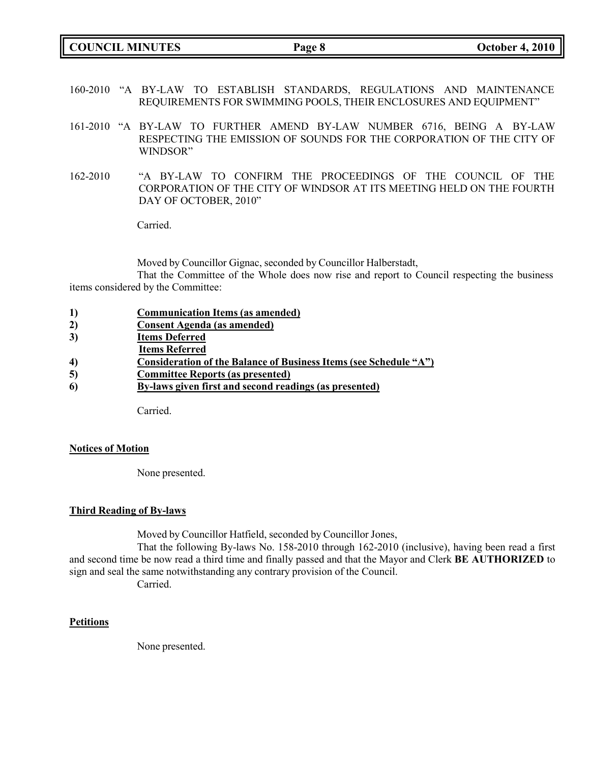**COUNCIL MINUTES Page 8 October 4, 2010**

- 160-2010 "A BY-LAW TO ESTABLISH STANDARDS, REGULATIONS AND MAINTENANCE REQUIREMENTS FOR SWIMMING POOLS, THEIR ENCLOSURES AND EQUIPMENT"
- 161-2010 "A BY-LAW TO FURTHER AMEND BY-LAW NUMBER 6716, BEING A BY-LAW RESPECTING THE EMISSION OF SOUNDS FOR THE CORPORATION OF THE CITY OF WINDSOR"
- 162-2010 "A BY-LAW TO CONFIRM THE PROCEEDINGS OF THE COUNCIL OF THE CORPORATION OF THE CITY OF WINDSOR AT ITS MEETING HELD ON THE FOURTH DAY OF OCTOBER, 2010"

Carried.

Moved by Councillor Gignac, seconded by Councillor Halberstadt,

That the Committee of the Whole does now rise and report to Council respecting the business items considered by the Committee:

| <b>Communication Items (as amended)</b> |
|-----------------------------------------|
|-----------------------------------------|

- **2) Consent Agenda (as amended)**
- **3) Items Deferred**
- **Items Referred**
- **4) Consideration of the Balance of Business Items (see Schedule "A")**
- **5) Committee Reports (as presented)**
- **6) By-laws given first and second readings (as presented)**

Carried.

### **Notices of Motion**

None presented.

### **Third Reading of By-laws**

Moved by Councillor Hatfield, seconded by Councillor Jones,

That the following By-laws No. 158-2010 through 162-2010 (inclusive), having been read a first and second time be now read a third time and finally passed and that the Mayor and Clerk **BE AUTHORIZED** to sign and seal the same notwithstanding any contrary provision of the Council.

Carried.

## **Petitions**

None presented.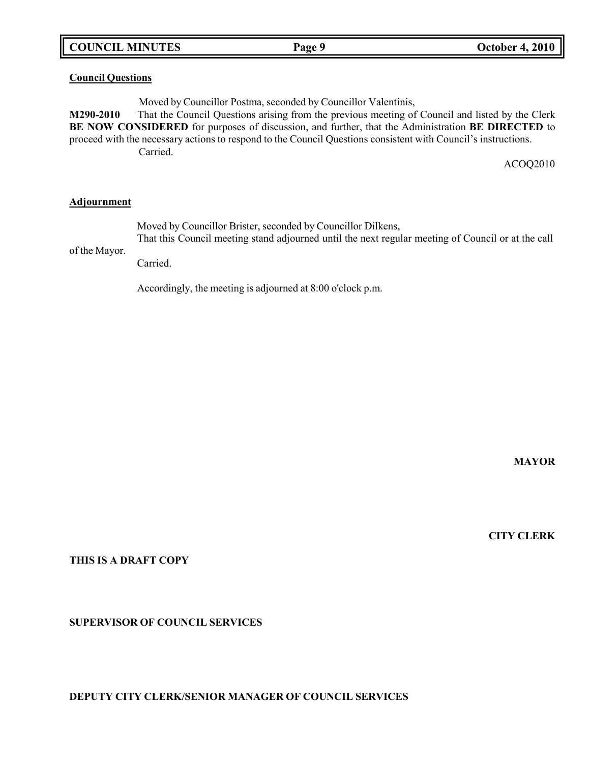# **COUNCIL MINUTES Page 9 October 4, 2010**

## **Council Questions**

Moved by Councillor Postma, seconded by Councillor Valentinis,

**M290-2010** That the Council Questions arising from the previous meeting of Council and listed by the Clerk **BE NOW CONSIDERED** for purposes of discussion, and further, that the Administration **BE DIRECTED** to proceed with the necessary actions to respond to the Council Questions consistent with Council's instructions. Carried.

ACOQ2010

## **Adjournment**

Moved by Councillor Brister, seconded by Councillor Dilkens,

of the Mayor. That this Council meeting stand adjourned until the next regular meeting of Council or at the call

Carried.

Accordingly, the meeting is adjourned at 8:00 o'clock p.m.

**MAYOR**

**CITY CLERK**

### **THIS IS A DRAFT COPY**

## **SUPERVISOR OF COUNCIL SERVICES**

### **DEPUTY CITY CLERK/SENIOR MANAGER OF COUNCIL SERVICES**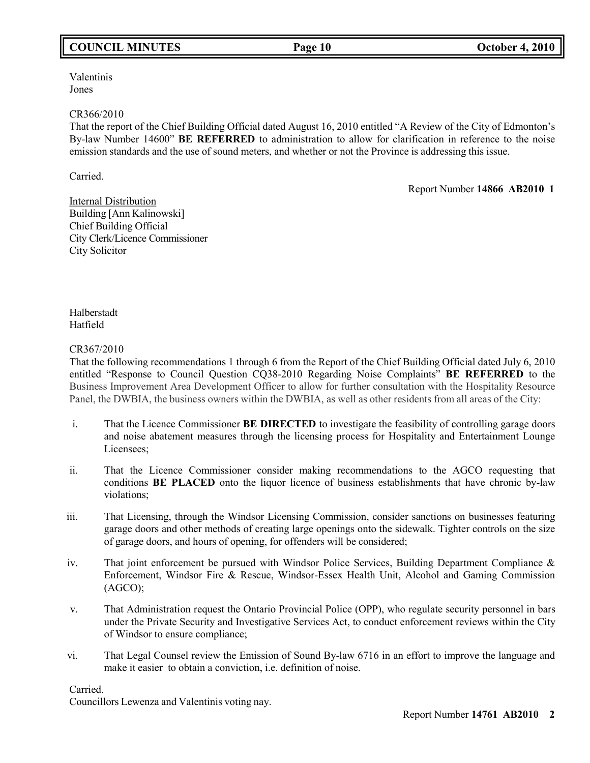# **COUNCIL MINUTES Page 10 October 4, 2010**

Valentinis Jones

### CR366/2010

That the report of the Chief Building Official dated August 16, 2010 entitled "A Review of the City of Edmonton's By-law Number 14600" **BE REFERRED** to administration to allow for clarification in reference to the noise emission standards and the use of sound meters, and whether or not the Province is addressing this issue.

Carried.

Report Number **14866 AB2010 1**

**Internal Distribution** Building [Ann Kalinowski] Chief Building Official City Clerk/Licence Commissioner City Solicitor

Halberstadt Hatfield

## CR367/2010

That the following recommendations 1 through 6 from the Report of the Chief Building Official dated July 6, 2010 entitled "Response to Council Question CQ38-2010 Regarding Noise Complaints" **BE REFERRED** to the Business Improvement Area Development Officer to allow for further consultation with the Hospitality Resource Panel, the DWBIA, the business owners within the DWBIA, as well as other residents from all areas of the City:

- i. That the Licence Commissioner **BE DIRECTED** to investigate the feasibility of controlling garage doors and noise abatement measures through the licensing process for Hospitality and Entertainment Lounge Licensees;
- ii. That the Licence Commissioner consider making recommendations to the AGCO requesting that conditions **BE PLACED** onto the liquor licence of business establishments that have chronic by-law violations;
- iii. That Licensing, through the Windsor Licensing Commission, consider sanctions on businesses featuring garage doors and other methods of creating large openings onto the sidewalk. Tighter controls on the size of garage doors, and hours of opening, for offenders will be considered;
- iv. That joint enforcement be pursued with Windsor Police Services, Building Department Compliance & Enforcement, Windsor Fire & Rescue, Windsor-Essex Health Unit, Alcohol and Gaming Commission (AGCO);
- v. That Administration request the Ontario Provincial Police (OPP), who regulate security personnel in bars under the Private Security and Investigative Services Act, to conduct enforcement reviews within the City of Windsor to ensure compliance;
- vi. That Legal Counsel review the Emission of Sound By-law 6716 in an effort to improve the language and make it easier to obtain a conviction, i.e. definition of noise.

Carried.

Councillors Lewenza and Valentinis voting nay.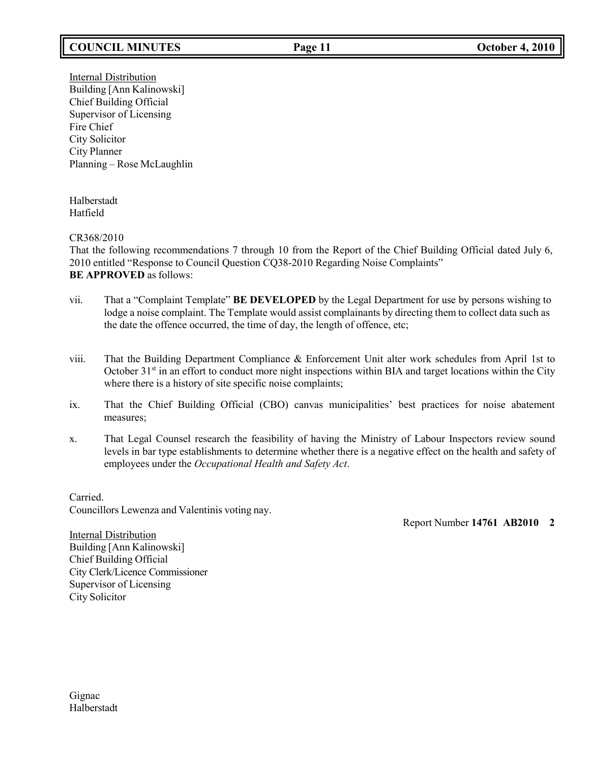# **COUNCIL MINUTES Page 11 October 4, 2010**

Internal Distribution Building [Ann Kalinowski] Chief Building Official Supervisor of Licensing Fire Chief City Solicitor City Planner Planning – Rose McLaughlin

Halberstadt Hatfield

CR368/2010

That the following recommendations 7 through 10 from the Report of the Chief Building Official dated July 6, 2010 entitled "Response to Council Question CQ38-2010 Regarding Noise Complaints" **BE APPROVED** as follows:

- vii. That a "Complaint Template" **BE DEVELOPED** by the Legal Department for use by persons wishing to lodge a noise complaint. The Template would assist complainants by directing them to collect data such as the date the offence occurred, the time of day, the length of offence, etc;
- viii. That the Building Department Compliance & Enforcement Unit alter work schedules from April 1st to October 31<sup>st</sup> in an effort to conduct more night inspections within BIA and target locations within the City where there is a history of site specific noise complaints;
- ix. That the Chief Building Official (CBO) canvas municipalities' best practices for noise abatement measures;
- x. That Legal Counsel research the feasibility of having the Ministry of Labour Inspectors review sound levels in bar type establishments to determine whether there is a negative effect on the health and safety of employees under the *Occupational Health and Safety Act*.

Carried. Councillors Lewenza and Valentinis voting nay.

Report Number **14761 AB2010 2**

Internal Distribution Building [Ann Kalinowski] Chief Building Official City Clerk/Licence Commissioner Supervisor of Licensing City Solicitor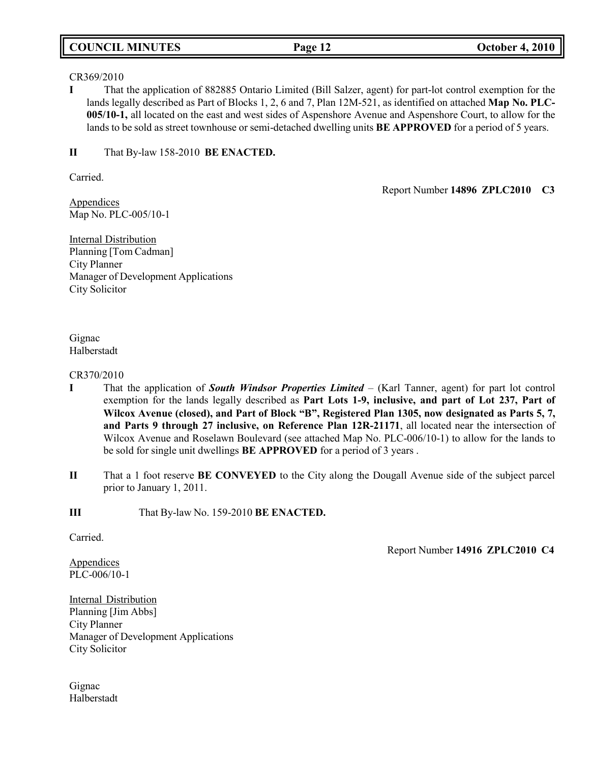## **COUNCIL MINUTES Page 12 October 4, 2010**

### CR369/2010

**I** That the application of 882885 Ontario Limited (Bill Salzer, agent) for part-lot control exemption for the lands legally described as Part of Blocks 1, 2, 6 and 7, Plan 12M-521, as identified on attached **Map No. PLC-005/10-1,** all located on the east and west sides of Aspenshore Avenue and Aspenshore Court, to allow for the lands to be sold as street townhouse or semi-detached dwelling units **BE APPROVED** for a period of 5 years.

## **II** That By-law 158-2010 **BE ENACTED.**

Carried.

Appendices Map No. PLC-005/10-1

Internal Distribution Planning [Tom Cadman] City Planner Manager of Development Applications City Solicitor

## Gignac Halberstadt

### CR370/2010

- **I** That the application of *South Windsor Properties Limited*  (Karl Tanner, agent) for part lot control exemption for the lands legally described as **Part Lots 1-9, inclusive, and part of Lot 237, Part of Wilcox Avenue (closed), and Part of Block "B", Registered Plan 1305, now designated as Parts 5, 7, and Parts 9 through 27 inclusive, on Reference Plan 12R-21171**, all located near the intersection of Wilcox Avenue and Roselawn Boulevard (see attached Map No. PLC-006/10-1) to allow for the lands to be sold for single unit dwellings **BE APPROVED** for a period of 3 years .
- **II** That a 1 foot reserve **BE CONVEYED** to the City along the Dougall Avenue side of the subject parcel prior to January 1, 2011.

**III** That By-law No. 159-2010 **BE ENACTED.**

Carried.

Appendices PLC-006/10-1 Report Number **14916 ZPLC2010 C4**

Report Number **14896 ZPLC2010 C3**

Internal Distribution Planning [Jim Abbs] City Planner Manager of Development Applications City Solicitor

Gignac Halberstadt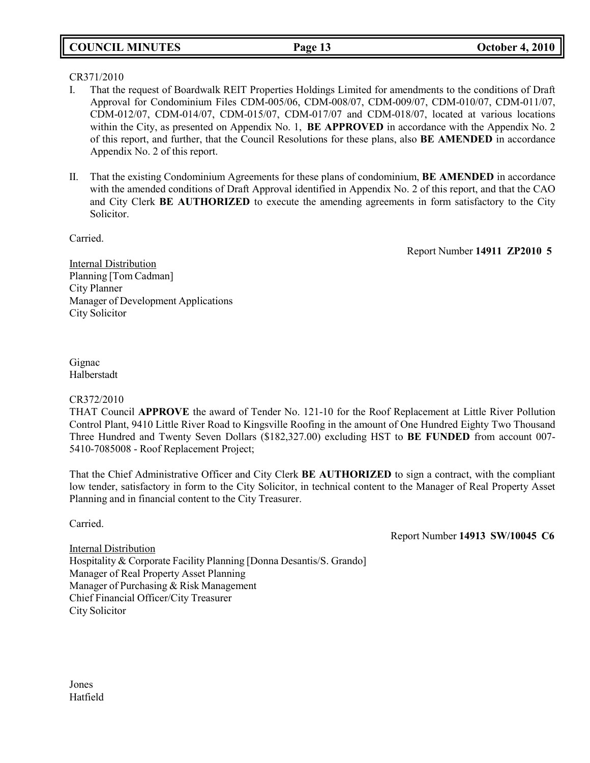## **COUNCIL MINUTES Page 13 October 4, 2010**

## CR371/2010

- I. That the request of Boardwalk REIT Properties Holdings Limited for amendments to the conditions of Draft Approval for Condominium Files CDM-005/06, CDM-008/07, CDM-009/07, CDM-010/07, CDM-011/07, CDM-012/07, CDM-014/07, CDM-015/07, CDM-017/07 and CDM-018/07, located at various locations within the City, as presented on Appendix No. 1, **BE APPROVED** in accordance with the Appendix No. 2 of this report, and further, that the Council Resolutions for these plans, also **BE AMENDED** in accordance Appendix No. 2 of this report.
- II. That the existing Condominium Agreements for these plans of condominium, **BE AMENDED** in accordance with the amended conditions of Draft Approval identified in Appendix No. 2 of this report, and that the CAO and City Clerk **BE AUTHORIZED** to execute the amending agreements in form satisfactory to the City Solicitor.

Carried.

Report Number **14911 ZP2010 5**

Internal Distribution Planning [Tom Cadman] City Planner Manager of Development Applications City Solicitor

Gignac Halberstadt

### CR372/2010

THAT Council **APPROVE** the award of Tender No. 121-10 for the Roof Replacement at Little River Pollution Control Plant, 9410 Little River Road to Kingsville Roofing in the amount of One Hundred Eighty Two Thousand Three Hundred and Twenty Seven Dollars (\$182,327.00) excluding HST to **BE FUNDED** from account 007- 5410-7085008 - Roof Replacement Project;

That the Chief Administrative Officer and City Clerk **BE AUTHORIZED** to sign a contract, with the compliant low tender, satisfactory in form to the City Solicitor, in technical content to the Manager of Real Property Asset Planning and in financial content to the City Treasurer.

Carried.

Report Number **14913 SW/10045 C6**

Internal Distribution Hospitality & Corporate Facility Planning [Donna Desantis/S. Grando] Manager of Real Property Asset Planning Manager of Purchasing & Risk Management Chief Financial Officer/City Treasurer City Solicitor

Jones Hatfield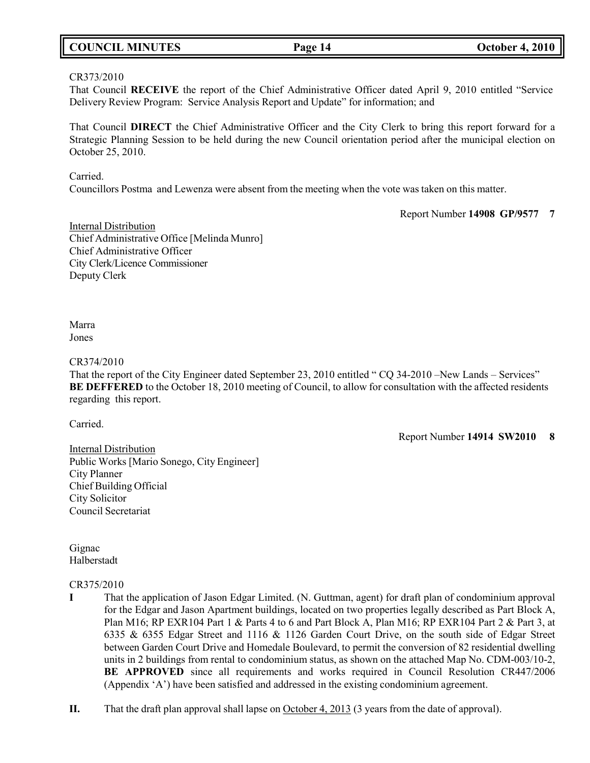## **COUNCIL MINUTES Page 14 October 4, 2010**

### CR373/2010

That Council **RECEIVE** the report of the Chief Administrative Officer dated April 9, 2010 entitled "Service Delivery Review Program: Service Analysis Report and Update" for information; and

That Council **DIRECT** the Chief Administrative Officer and the City Clerk to bring this report forward for a Strategic Planning Session to be held during the new Council orientation period after the municipal election on October 25, 2010.

Carried.

Councillors Postma and Lewenza were absent from the meeting when the vote was taken on this matter.

Report Number **14908 GP/9577 7**

Internal Distribution Chief Administrative Office [Melinda Munro] Chief Administrative Officer City Clerk/Licence Commissioner Deputy Clerk

Marra Jones

### CR374/2010

That the report of the City Engineer dated September 23, 2010 entitled " CQ 34-2010 –New Lands – Services" **BE DEFFERED** to the October 18, 2010 meeting of Council, to allow for consultation with the affected residents regarding this report.

Carried.

Report Number **14914 SW2010 8**

Internal Distribution Public Works [Mario Sonego, City Engineer] City Planner Chief Building Official City Solicitor Council Secretariat

Gignac Halberstadt

## CR375/2010

- **I** That the application of Jason Edgar Limited. (N. Guttman, agent) for draft plan of condominium approval for the Edgar and Jason Apartment buildings, located on two properties legally described as Part Block A, Plan M16; RP EXR104 Part 1 & Parts 4 to 6 and Part Block A, Plan M16; RP EXR104 Part 2 & Part 3, at 6335 & 6355 Edgar Street and 1116 & 1126 Garden Court Drive, on the south side of Edgar Street between Garden Court Drive and Homedale Boulevard, to permit the conversion of 82 residential dwelling units in 2 buildings from rental to condominium status, as shown on the attached Map No. CDM-003/10-2, **BE APPROVED** since all requirements and works required in Council Resolution CR447/2006 (Appendix 'A') have been satisfied and addressed in the existing condominium agreement.
- **II.** That the draft plan approval shall lapse on October 4, 2013 (3 years from the date of approval).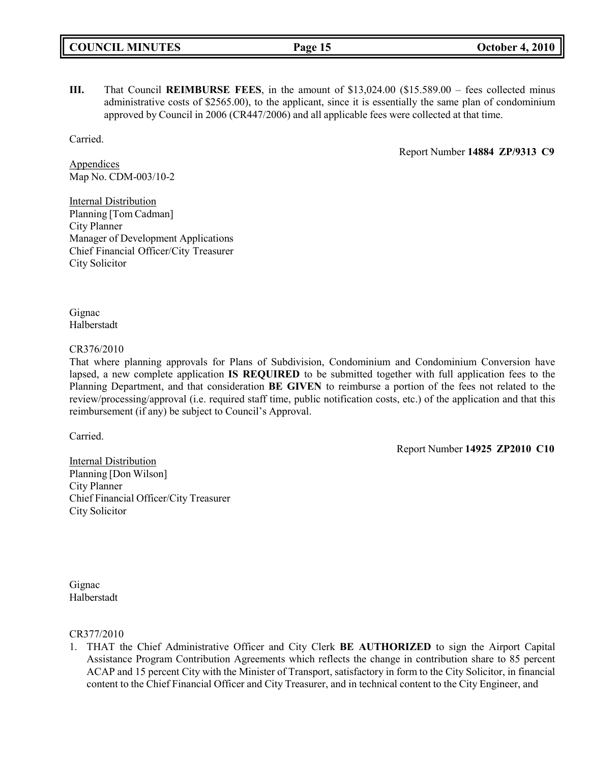**III.** That Council **REIMBURSE FEES**, in the amount of \$13,024.00 (\$15.589.00 – fees collected minus administrative costs of \$2565.00), to the applicant, since it is essentially the same plan of condominium approved by Council in 2006 (CR447/2006) and all applicable fees were collected at that time.

Carried.

Report Number **14884 ZP/9313 C9**

**Appendices** Map No. CDM-003/10-2

Internal Distribution Planning [Tom Cadman] City Planner Manager of Development Applications Chief Financial Officer/City Treasurer City Solicitor

Gignac Halberstadt

## CR376/2010

That where planning approvals for Plans of Subdivision, Condominium and Condominium Conversion have lapsed, a new complete application **IS REQUIRED** to be submitted together with full application fees to the Planning Department, and that consideration **BE GIVEN** to reimburse a portion of the fees not related to the review/processing/approval (i.e. required staff time, public notification costs, etc.) of the application and that this reimbursement (if any) be subject to Council's Approval.

Carried.

Report Number **14925 ZP2010 C10**

Internal Distribution Planning [Don Wilson] City Planner Chief Financial Officer/City Treasurer City Solicitor

Gignac Halberstadt

CR377/2010

1. THAT the Chief Administrative Officer and City Clerk **BE AUTHORIZED** to sign the Airport Capital Assistance Program Contribution Agreements which reflects the change in contribution share to 85 percent ACAP and 15 percent City with the Minister of Transport, satisfactory in form to the City Solicitor, in financial content to the Chief Financial Officer and City Treasurer, and in technical content to the City Engineer, and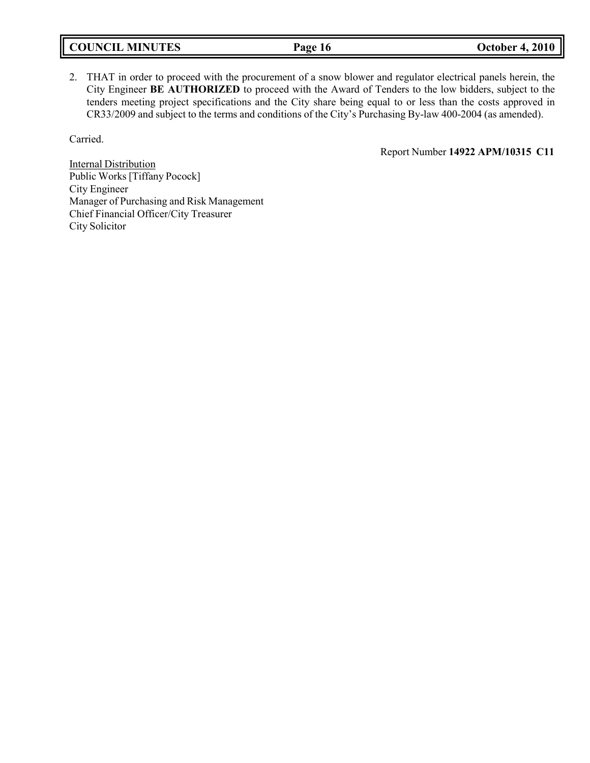|  | <b>COUNCIL MINUTES</b> |
|--|------------------------|
|--|------------------------|

2. THAT in order to proceed with the procurement of a snow blower and regulator electrical panels herein, the City Engineer **BE AUTHORIZED** to proceed with the Award of Tenders to the low bidders, subject to the tenders meeting project specifications and the City share being equal to or less than the costs approved in CR33/2009 and subject to the terms and conditions of the City's Purchasing By-law 400-2004 (as amended).

Carried.

Report Number **14922 APM/10315 C11**

Internal Distribution Public Works [Tiffany Pocock] City Engineer Manager of Purchasing and Risk Management Chief Financial Officer/City Treasurer City Solicitor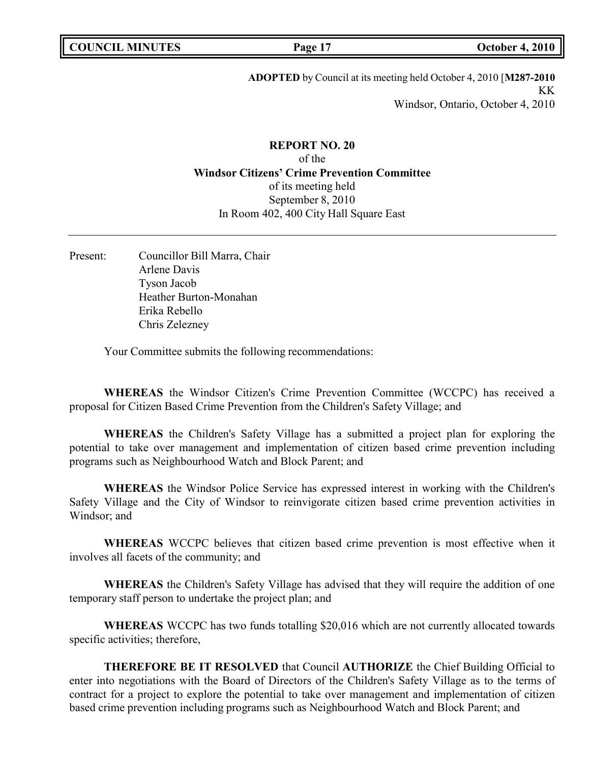**ADOPTED** by Council at its meeting held October 4, 2010 [**M287-2010** KK Windsor, Ontario, October 4, 2010

# **REPORT NO. 20** of the **Windsor Citizens' Crime Prevention Committee** of its meeting held September 8, 2010 In Room 402, 400 City Hall Square East

Present: Councillor Bill Marra, Chair Arlene Davis Tyson Jacob Heather Burton-Monahan Erika Rebello Chris Zelezney

Your Committee submits the following recommendations:

**WHEREAS** the Windsor Citizen's Crime Prevention Committee (WCCPC) has received a proposal for Citizen Based Crime Prevention from the Children's Safety Village; and

**WHEREAS** the Children's Safety Village has a submitted a project plan for exploring the potential to take over management and implementation of citizen based crime prevention including programs such as Neighbourhood Watch and Block Parent; and

**WHEREAS** the Windsor Police Service has expressed interest in working with the Children's Safety Village and the City of Windsor to reinvigorate citizen based crime prevention activities in Windsor; and

**WHEREAS** WCCPC believes that citizen based crime prevention is most effective when it involves all facets of the community; and

**WHEREAS** the Children's Safety Village has advised that they will require the addition of one temporary staff person to undertake the project plan; and

**WHEREAS** WCCPC has two funds totalling \$20,016 which are not currently allocated towards specific activities; therefore,

**THEREFORE BE IT RESOLVED** that Council **AUTHORIZE** the Chief Building Official to enter into negotiations with the Board of Directors of the Children's Safety Village as to the terms of contract for a project to explore the potential to take over management and implementation of citizen based crime prevention including programs such as Neighbourhood Watch and Block Parent; and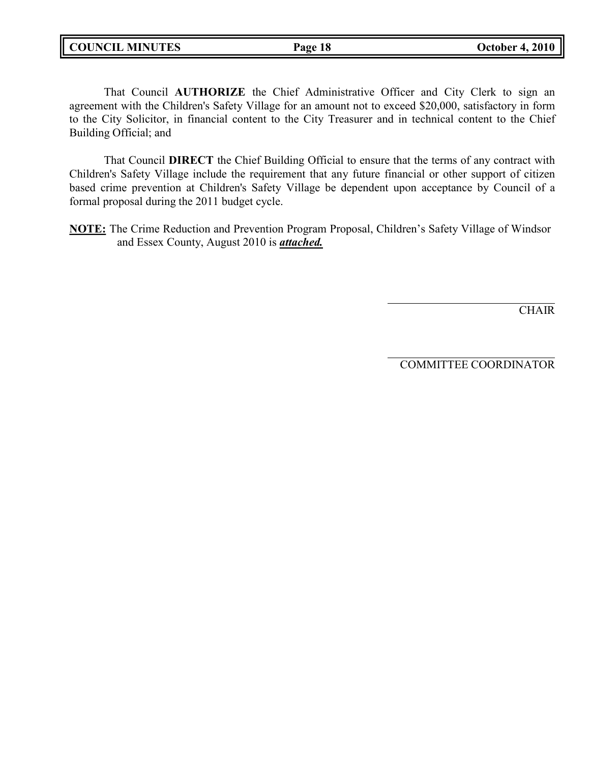**COUNCIL MINUTES Page 18 October 4, 2010**

That Council **AUTHORIZE** the Chief Administrative Officer and City Clerk to sign an agreement with the Children's Safety Village for an amount not to exceed \$20,000, satisfactory in form to the City Solicitor, in financial content to the City Treasurer and in technical content to the Chief Building Official; and

That Council **DIRECT** the Chief Building Official to ensure that the terms of any contract with Children's Safety Village include the requirement that any future financial or other support of citizen based crime prevention at Children's Safety Village be dependent upon acceptance by Council of a formal proposal during the 2011 budget cycle.

**NOTE:** The Crime Reduction and Prevention Program Proposal, Children's Safety Village of Windsor and Essex County, August 2010 is *attached.*

**CHAIR** 

COMMITTEE COORDINATOR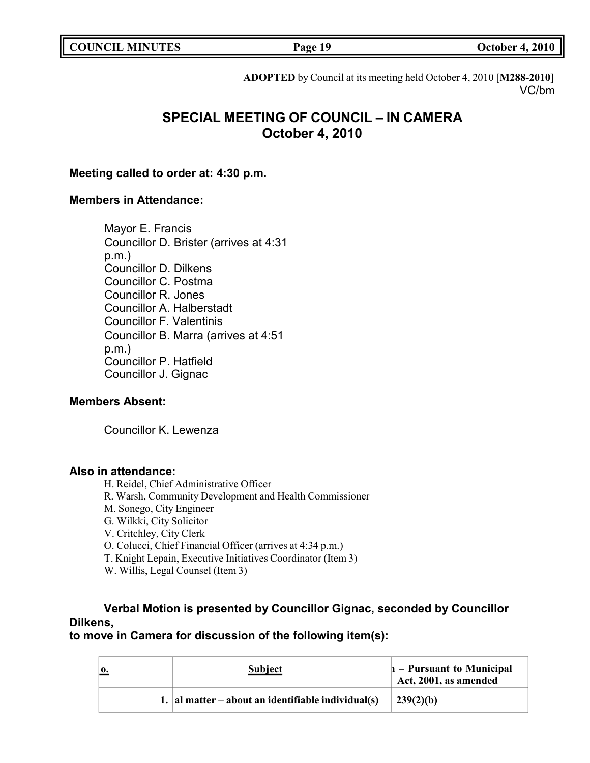| <b>COUNCIL MINUTES</b> |  |
|------------------------|--|
|------------------------|--|

**Page 19 October 4, 2010** 

**ADOPTED** by Council at its meeting held October 4, 2010 [**M288-2010**] VC/bm

# **SPECIAL MEETING OF COUNCIL – IN CAMERA October 4, 2010**

## **Meeting called to order at: 4:30 p.m.**

## **Members in Attendance:**

Mayor E. Francis Councillor D. Brister (arrives at 4:31 p.m.) Councillor D. Dilkens Councillor C. Postma Councillor R. Jones Councillor A. Halberstadt Councillor F. Valentinis Councillor B. Marra (arrives at 4:51 p.m.) Councillor P. Hatfield Councillor J. Gignac

## **Members Absent:**

Councillor K. Lewenza

## **Also in attendance:**

H. Reidel, Chief Administrative Officer

- R. Warsh, Community Development and Health Commissioner
- M. Sonego, City Engineer

G. Wilkki, City Solicitor

V. Critchley, City Clerk

- O. Colucci, Chief Financial Officer (arrives at 4:34 p.m.)
- T. Knight Lepain, Executive Initiatives Coordinator (Item 3)

W. Willis, Legal Counsel (Item 3)

# **Verbal Motion is presented by Councillor Gignac, seconded by Councillor Dilkens,**

# **to move in Camera for discussion of the following item(s):**

|  | <b>Subject</b>                                         | $h$ – Pursuant to Municipal<br>Act, 2001, as amended |
|--|--------------------------------------------------------|------------------------------------------------------|
|  | 1. $ $ al matter – about an identifiable individual(s) | 239(2)(b)                                            |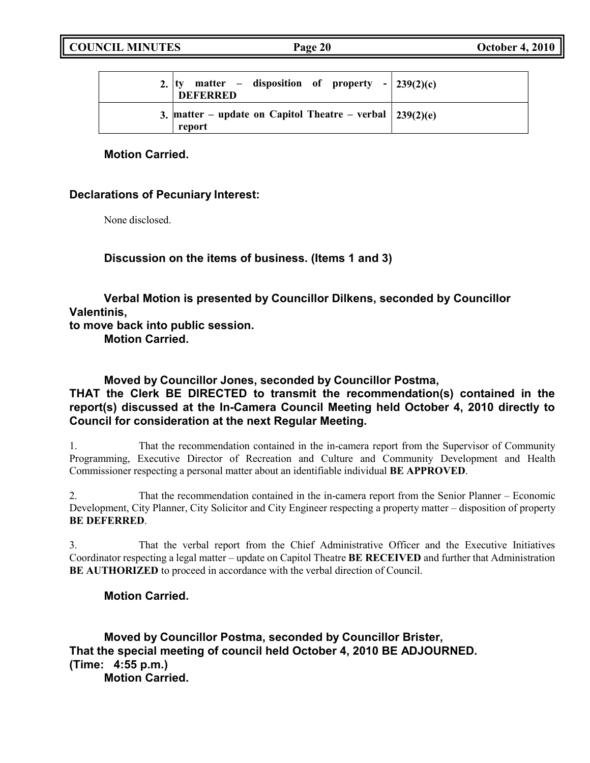| 2. $ ty$ matter – disposition of property - 239(2)(c)<br><b>DEFERRED</b>   |  |
|----------------------------------------------------------------------------|--|
| 3. matter – update on Capitol Theatre – verbal $\vert$ 239(2)(e)<br>report |  |

# **Motion Carried.**

# **Declarations of Pecuniary Interest:**

None disclosed.

**Discussion on the items of business. (Items 1 and 3)**

**Verbal Motion is presented by Councillor Dilkens, seconded by Councillor Valentinis,**

**to move back into public session.**

**Motion Carried.**

**Moved by Councillor Jones, seconded by Councillor Postma,**

# **THAT the Clerk BE DIRECTED to transmit the recommendation(s) contained in the report(s) discussed at the In-Camera Council Meeting held October 4, 2010 directly to Council for consideration at the next Regular Meeting.**

1. That the recommendation contained in the in-camera report from the Supervisor of Community Programming, Executive Director of Recreation and Culture and Community Development and Health Commissioner respecting a personal matter about an identifiable individual **BE APPROVED**.

2. That the recommendation contained in the in-camera report from the Senior Planner – Economic Development, City Planner, City Solicitor and City Engineer respecting a property matter – disposition of property **BE DEFERRED**.

3. That the verbal report from the Chief Administrative Officer and the Executive Initiatives Coordinator respecting a legal matter – update on Capitol Theatre **BE RECEIVED** and further that Administration **BE AUTHORIZED** to proceed in accordance with the verbal direction of Council.

# **Motion Carried.**

**Moved by Councillor Postma, seconded by Councillor Brister, That the special meeting of council held October 4, 2010 BE ADJOURNED. (Time: 4:55 p.m.)**

**Motion Carried.**